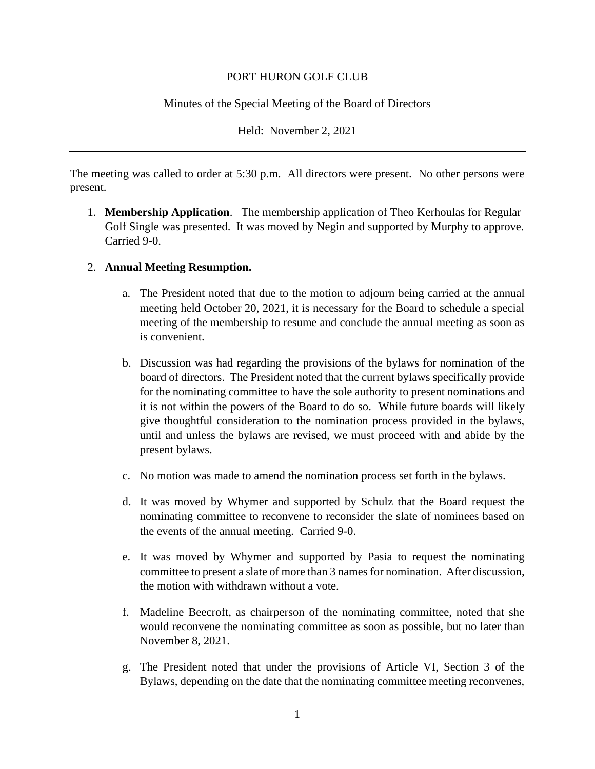## PORT HURON GOLF CLUB

## Minutes of the Special Meeting of the Board of Directors

Held: November 2, 2021

The meeting was called to order at 5:30 p.m. All directors were present. No other persons were present.

1. **Membership Application**. The membership application of Theo Kerhoulas for Regular Golf Single was presented. It was moved by Negin and supported by Murphy to approve. Carried 9-0.

## 2. **Annual Meeting Resumption.**

- a. The President noted that due to the motion to adjourn being carried at the annual meeting held October 20, 2021, it is necessary for the Board to schedule a special meeting of the membership to resume and conclude the annual meeting as soon as is convenient.
- b. Discussion was had regarding the provisions of the bylaws for nomination of the board of directors. The President noted that the current bylaws specifically provide for the nominating committee to have the sole authority to present nominations and it is not within the powers of the Board to do so. While future boards will likely give thoughtful consideration to the nomination process provided in the bylaws, until and unless the bylaws are revised, we must proceed with and abide by the present bylaws.
- c. No motion was made to amend the nomination process set forth in the bylaws.
- d. It was moved by Whymer and supported by Schulz that the Board request the nominating committee to reconvene to reconsider the slate of nominees based on the events of the annual meeting. Carried 9-0.
- e. It was moved by Whymer and supported by Pasia to request the nominating committee to present a slate of more than 3 names for nomination. After discussion, the motion with withdrawn without a vote.
- f. Madeline Beecroft, as chairperson of the nominating committee, noted that she would reconvene the nominating committee as soon as possible, but no later than November 8, 2021.
- g. The President noted that under the provisions of Article VI, Section 3 of the Bylaws, depending on the date that the nominating committee meeting reconvenes,